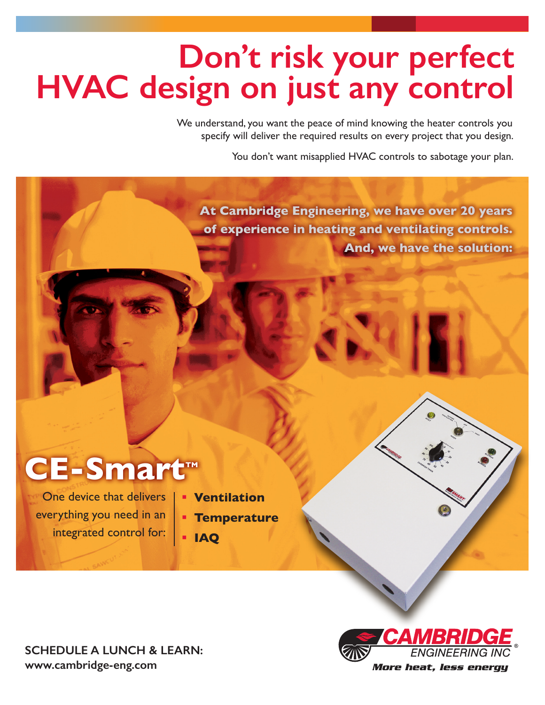# **Don't risk your perfect<br>HVAC design on just any control**

We understand, you want the peace of mind knowing the heater controls you specify will deliver the required results on every project that you design.

You don't want misapplied HVAC controls to sabotage your plan.

**At Cambridge Engineering, we have over 20 years of experience in heating and ventilating controls. And, we have the solution:**

### **CE-Smart™**

One device that delivers everything you need in an integrated control for:

- § **Ventilation**
- § **Temperature**
- § **IAQ**